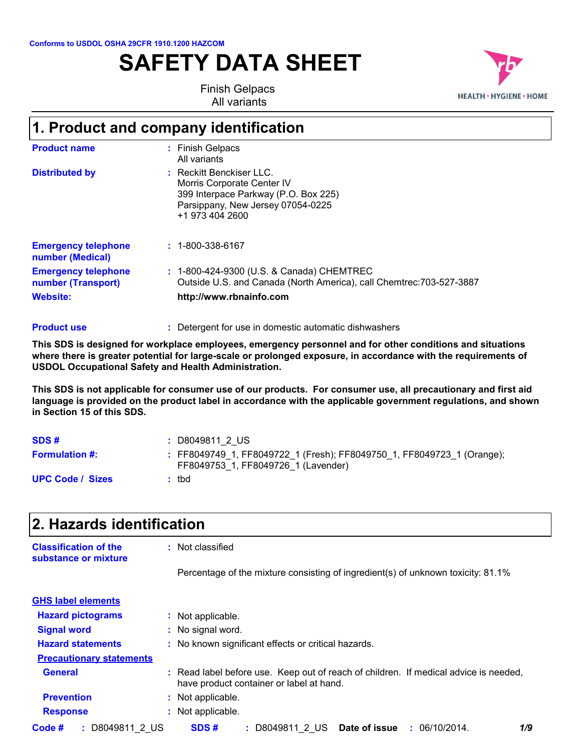**Conforms to USDOL OSHA 29CFR 1910.1200 HAZCOM**

# **SAFETY DATA SHEET**



Finish Gelpacs All variants

# **1. Product and company identification**

| <b>Website:</b>                                  | http://www.rbnainfo.com                                                                                                                                |
|--------------------------------------------------|--------------------------------------------------------------------------------------------------------------------------------------------------------|
| <b>Emergency telephone</b><br>number (Transport) | : 1-800-424-9300 (U.S. & Canada) CHEMTREC<br>Outside U.S. and Canada (North America), call Chemtrec: 703-527-3887                                      |
| <b>Emergency telephone</b><br>number (Medical)   | $: 1 - 800 - 338 - 6167$                                                                                                                               |
| <b>Distributed by</b>                            | : Reckitt Benckiser LLC.<br>Morris Corporate Center IV<br>399 Interpace Parkway (P.O. Box 225)<br>Parsippany, New Jersey 07054-0225<br>+1 973 404 2600 |
| <b>Product name</b>                              | : Finish Gelpacs<br>All variants                                                                                                                       |

Detergent for use in domestic automatic dishwashers **: Product use**

**This SDS is designed for workplace employees, emergency personnel and for other conditions and situations where there is greater potential for large-scale or prolonged exposure, in accordance with the requirements of USDOL Occupational Safety and Health Administration.**

**This SDS is not applicable for consumer use of our products. For consumer use, all precautionary and first aid language is provided on the product label in accordance with the applicable government regulations, and shown in Section 15 of this SDS.**

| SDS#                    | : D8049811 2 US                                                                                               |
|-------------------------|---------------------------------------------------------------------------------------------------------------|
| <b>Formulation #:</b>   | : FF8049749 1, FF8049722 1 (Fresh); FF8049750 1, FF8049723 1 (Orange);<br>FF8049753 1, FF8049726 1 (Lavender) |
| <b>UPC Code / Sizes</b> | : tbd                                                                                                         |

| 2. Hazards identification                            |                                                                                                                                  |  |  |  |  |
|------------------------------------------------------|----------------------------------------------------------------------------------------------------------------------------------|--|--|--|--|
| <b>Classification of the</b><br>substance or mixture | : Not classified                                                                                                                 |  |  |  |  |
|                                                      | Percentage of the mixture consisting of ingredient(s) of unknown toxicity: 81.1%                                                 |  |  |  |  |
| <b>GHS label elements</b>                            |                                                                                                                                  |  |  |  |  |
| <b>Hazard pictograms</b>                             | : Not applicable.                                                                                                                |  |  |  |  |
| <b>Signal word</b>                                   | : No signal word.                                                                                                                |  |  |  |  |
| <b>Hazard statements</b>                             | : No known significant effects or critical hazards.                                                                              |  |  |  |  |
| <b>Precautionary statements</b>                      |                                                                                                                                  |  |  |  |  |
| <b>General</b>                                       | : Read label before use. Keep out of reach of children. If medical advice is needed,<br>have product container or label at hand. |  |  |  |  |
| <b>Prevention</b>                                    | : Not applicable.                                                                                                                |  |  |  |  |
| <b>Response</b>                                      | : Not applicable.                                                                                                                |  |  |  |  |
| Code #<br>: D8049811 2 US                            | SDS#<br>: D8049811 2 US Date of issue : 06/10/2014.<br>1/9                                                                       |  |  |  |  |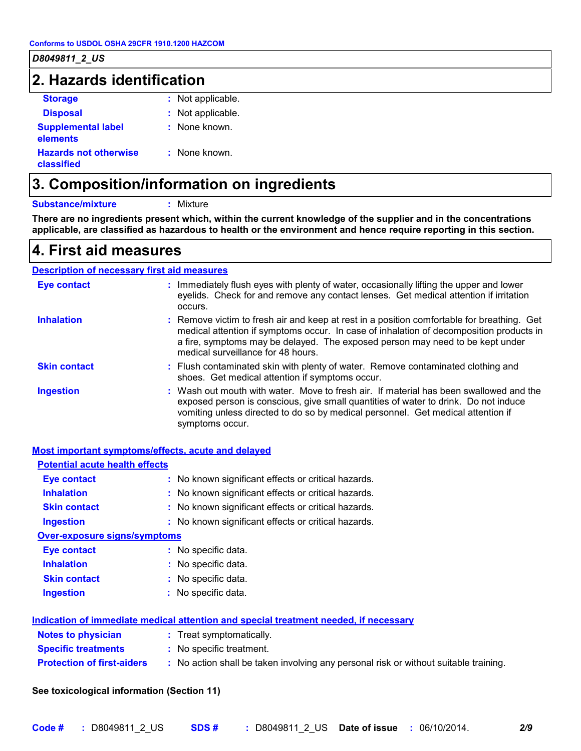| 2. Hazards identification                  |                   |  |
|--------------------------------------------|-------------------|--|
| <b>Storage</b>                             | : Not applicable. |  |
| <b>Disposal</b>                            | : Not applicable. |  |
| <b>Supplemental label</b><br>elements      | : None known.     |  |
| <b>Hazards not otherwise</b><br>classified | : None known.     |  |

# **3. Composition/information on ingredients**

#### **Substance/mixture :** Mixture

**There are no ingredients present which, within the current knowledge of the supplier and in the concentrations applicable, are classified as hazardous to health or the environment and hence require reporting in this section.**

### **4. First aid measures**

#### Wash out mouth with water. Move to fresh air. If material has been swallowed and the exposed person is conscious, give small quantities of water to drink. Do not induce vomiting unless directed to do so by medical personnel. Get medical attention if symptoms occur. **:** Immediately flush eyes with plenty of water, occasionally lifting the upper and lower eyelids. Check for and remove any contact lenses. Get medical attention if irritation occurs. Flush contaminated skin with plenty of water. Remove contaminated clothing and **:** shoes. Get medical attention if symptoms occur. Remove victim to fresh air and keep at rest in a position comfortable for breathing. Get **:** medical attention if symptoms occur. In case of inhalation of decomposition products in a fire, symptoms may be delayed. The exposed person may need to be kept under medical surveillance for 48 hours. **Eye contact Skin contact Inhalation Ingestion : Description of necessary first aid measures**

#### **Most important symptoms/effects, acute and delayed**

| <b>Potential acute health effects</b> |                                                                                      |
|---------------------------------------|--------------------------------------------------------------------------------------|
| Eye contact                           | : No known significant effects or critical hazards.                                  |
| <b>Inhalation</b>                     | : No known significant effects or critical hazards.                                  |
| <b>Skin contact</b>                   | : No known significant effects or critical hazards.                                  |
| Ingestion                             | : No known significant effects or critical hazards.                                  |
| <b>Over-exposure signs/symptoms</b>   |                                                                                      |
| Eye contact                           | : No specific data.                                                                  |
| <b>Inhalation</b>                     | : No specific data.                                                                  |
| <b>Skin contact</b>                   | : No specific data.                                                                  |
| <b>Ingestion</b>                      | : No specific data.                                                                  |
|                                       | Indication of immediate medical attention and special treatment needed, if necessary |
| Notes to physician                    | : Treat symptomatically.                                                             |
| <b>Specific treatments</b>            | : No specific treatment.                                                             |
| <b>Protection of first-aiders</b>     | : No action shall be taken involving any personal risk or without suitable training. |
|                                       |                                                                                      |

#### **See toxicological information (Section 11)**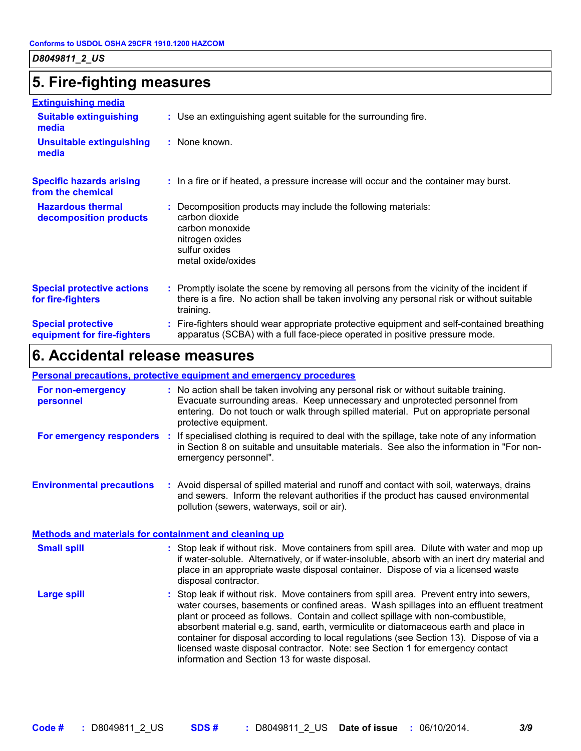# **5. Fire-fighting measures**

| <b>Extinguishing media</b>                               |                                                                                                                                                                                                     |
|----------------------------------------------------------|-----------------------------------------------------------------------------------------------------------------------------------------------------------------------------------------------------|
| <b>Suitable extinguishing</b><br>media                   | : Use an extinguishing agent suitable for the surrounding fire.                                                                                                                                     |
| <b>Unsuitable extinguishing</b><br>media                 | : None known.                                                                                                                                                                                       |
| <b>Specific hazards arising</b><br>from the chemical     | : In a fire or if heated, a pressure increase will occur and the container may burst.                                                                                                               |
| <b>Hazardous thermal</b><br>decomposition products       | Decomposition products may include the following materials:<br>carbon dioxide<br>carbon monoxide<br>nitrogen oxides<br>sulfur oxides<br>metal oxide/oxides                                          |
| <b>Special protective actions</b><br>for fire-fighters   | : Promptly isolate the scene by removing all persons from the vicinity of the incident if<br>there is a fire. No action shall be taken involving any personal risk or without suitable<br>training. |
| <b>Special protective</b><br>equipment for fire-fighters | Fire-fighters should wear appropriate protective equipment and self-contained breathing<br>apparatus (SCBA) with a full face-piece operated in positive pressure mode.                              |
|                                                          |                                                                                                                                                                                                     |

# **6. Accidental release measures**

#### **Personal precautions, protective equipment and emergency procedures**

| For non-emergency<br>personnel                        |     | : No action shall be taken involving any personal risk or without suitable training.<br>Evacuate surrounding areas. Keep unnecessary and unprotected personnel from<br>entering. Do not touch or walk through spilled material. Put on appropriate personal<br>protective equipment.                                                                                                                                                                                                                                                                                                       |  |  |
|-------------------------------------------------------|-----|--------------------------------------------------------------------------------------------------------------------------------------------------------------------------------------------------------------------------------------------------------------------------------------------------------------------------------------------------------------------------------------------------------------------------------------------------------------------------------------------------------------------------------------------------------------------------------------------|--|--|
| For emergency responders                              | -11 | If specialised clothing is required to deal with the spillage, take note of any information<br>in Section 8 on suitable and unsuitable materials. See also the information in "For non-<br>emergency personnel".                                                                                                                                                                                                                                                                                                                                                                           |  |  |
| <b>Environmental precautions</b>                      |     | : Avoid dispersal of spilled material and runoff and contact with soil, waterways, drains<br>and sewers. Inform the relevant authorities if the product has caused environmental<br>pollution (sewers, waterways, soil or air).                                                                                                                                                                                                                                                                                                                                                            |  |  |
| Methods and materials for containment and cleaning up |     |                                                                                                                                                                                                                                                                                                                                                                                                                                                                                                                                                                                            |  |  |
| <b>Small spill</b>                                    |     | : Stop leak if without risk. Move containers from spill area. Dilute with water and mop up<br>if water-soluble. Alternatively, or if water-insoluble, absorb with an inert dry material and<br>place in an appropriate waste disposal container. Dispose of via a licensed waste<br>disposal contractor.                                                                                                                                                                                                                                                                                   |  |  |
| <b>Large spill</b>                                    |     | : Stop leak if without risk. Move containers from spill area. Prevent entry into sewers,<br>water courses, basements or confined areas. Wash spillages into an effluent treatment<br>plant or proceed as follows. Contain and collect spillage with non-combustible,<br>absorbent material e.g. sand, earth, vermiculite or diatomaceous earth and place in<br>container for disposal according to local regulations (see Section 13). Dispose of via a<br>licensed waste disposal contractor. Note: see Section 1 for emergency contact<br>information and Section 13 for waste disposal. |  |  |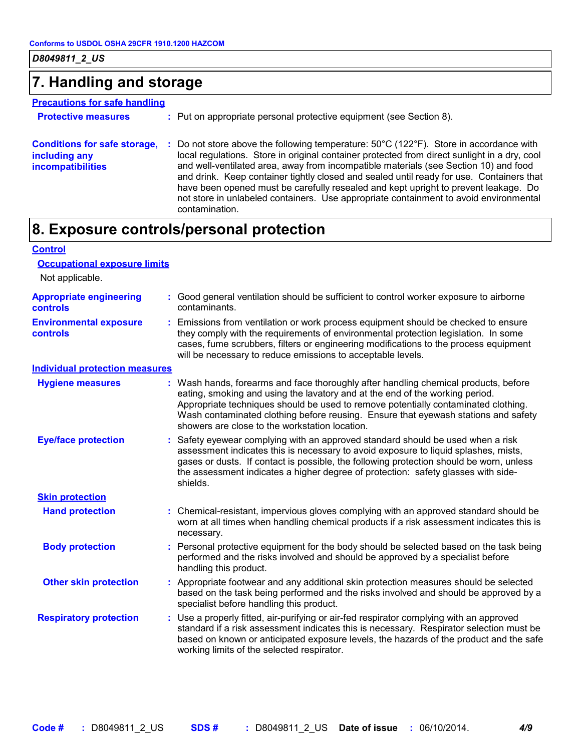### **7. Handling and storage**

#### **Precautions for safe handling**

| <b>Protective measures</b> | : Put on appropriate personal protective equipment (see Section 8). |  |
|----------------------------|---------------------------------------------------------------------|--|
|                            |                                                                     |  |

**Conditions for safe storage, : Do not store above the following temperature: 50°C (122°F). Store in accordance with including any incompatibilities** local regulations. Store in original container protected from direct sunlight in a dry, cool and well-ventilated area, away from incompatible materials (see Section 10) and food and drink. Keep container tightly closed and sealed until ready for use. Containers that have been opened must be carefully resealed and kept upright to prevent leakage. Do not store in unlabeled containers. Use appropriate containment to avoid environmental contamination.

### **8. Exposure controls/personal protection**

| <b>Control</b>                             |                                                                                                                                                                                                                                                                                                                                                                                                   |
|--------------------------------------------|---------------------------------------------------------------------------------------------------------------------------------------------------------------------------------------------------------------------------------------------------------------------------------------------------------------------------------------------------------------------------------------------------|
| <b>Occupational exposure limits</b>        |                                                                                                                                                                                                                                                                                                                                                                                                   |
| Not applicable.                            |                                                                                                                                                                                                                                                                                                                                                                                                   |
| <b>Appropriate engineering</b><br>controls | : Good general ventilation should be sufficient to control worker exposure to airborne<br>contaminants.                                                                                                                                                                                                                                                                                           |
| <b>Environmental exposure</b><br>controls  | : Emissions from ventilation or work process equipment should be checked to ensure<br>they comply with the requirements of environmental protection legislation. In some<br>cases, fume scrubbers, filters or engineering modifications to the process equipment<br>will be necessary to reduce emissions to acceptable levels.                                                                   |
| <b>Individual protection measures</b>      |                                                                                                                                                                                                                                                                                                                                                                                                   |
| <b>Hygiene measures</b>                    | : Wash hands, forearms and face thoroughly after handling chemical products, before<br>eating, smoking and using the lavatory and at the end of the working period.<br>Appropriate techniques should be used to remove potentially contaminated clothing.<br>Wash contaminated clothing before reusing. Ensure that eyewash stations and safety<br>showers are close to the workstation location. |
| <b>Eye/face protection</b>                 | : Safety eyewear complying with an approved standard should be used when a risk<br>assessment indicates this is necessary to avoid exposure to liquid splashes, mists,<br>gases or dusts. If contact is possible, the following protection should be worn, unless<br>the assessment indicates a higher degree of protection: safety glasses with side-<br>shields.                                |
| <b>Skin protection</b>                     |                                                                                                                                                                                                                                                                                                                                                                                                   |
| <b>Hand protection</b>                     | : Chemical-resistant, impervious gloves complying with an approved standard should be<br>worn at all times when handling chemical products if a risk assessment indicates this is<br>necessary.                                                                                                                                                                                                   |
| <b>Body protection</b>                     | : Personal protective equipment for the body should be selected based on the task being<br>performed and the risks involved and should be approved by a specialist before<br>handling this product.                                                                                                                                                                                               |
| <b>Other skin protection</b>               | : Appropriate footwear and any additional skin protection measures should be selected<br>based on the task being performed and the risks involved and should be approved by a<br>specialist before handling this product.                                                                                                                                                                         |
| <b>Respiratory protection</b>              | : Use a properly fitted, air-purifying or air-fed respirator complying with an approved<br>standard if a risk assessment indicates this is necessary. Respirator selection must be<br>based on known or anticipated exposure levels, the hazards of the product and the safe<br>working limits of the selected respirator.                                                                        |
|                                            |                                                                                                                                                                                                                                                                                                                                                                                                   |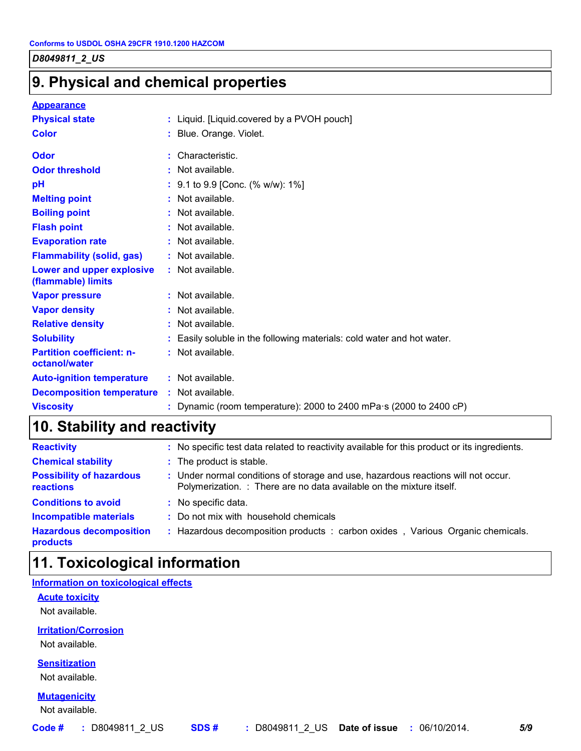# **9. Physical and chemical properties**

#### **Appearance**

| <b>Physical state</b>                             | : Liquid. [Liquid.covered by a PVOH pouch]                                 |
|---------------------------------------------------|----------------------------------------------------------------------------|
| <b>Color</b>                                      | : Blue. Orange. Violet.                                                    |
| Odor                                              | : Characteristic.                                                          |
| <b>Odor threshold</b>                             | : Not available.                                                           |
| pH                                                | : 9.1 to 9.9 [Conc. (% w/w): 1%]                                           |
| <b>Melting point</b>                              | : Not available.                                                           |
| <b>Boiling point</b>                              | : Not available.                                                           |
| <b>Flash point</b>                                | : Not available.                                                           |
| <b>Evaporation rate</b>                           | : Not available.                                                           |
| <b>Flammability (solid, gas)</b>                  | : Not available.                                                           |
| Lower and upper explosive<br>(flammable) limits   | : Not available.                                                           |
| <b>Vapor pressure</b>                             | : Not available.                                                           |
| <b>Vapor density</b>                              | : Not available.                                                           |
| <b>Relative density</b>                           | : Not available.                                                           |
| <b>Solubility</b>                                 | : Easily soluble in the following materials: cold water and hot water.     |
| <b>Partition coefficient: n-</b><br>octanol/water | : Not available.                                                           |
| <b>Auto-ignition temperature</b>                  | $:$ Not available.                                                         |
| <b>Decomposition temperature</b>                  | : Not available.                                                           |
| <b>Viscosity</b>                                  | : Dynamic (room temperature): 2000 to 2400 mPa $\cdot$ s (2000 to 2400 cP) |

# **10. Stability and reactivity**

| <b>Reactivity</b>                            | : No specific test data related to reactivity available for this product or its ingredients.                                                              |
|----------------------------------------------|-----------------------------------------------------------------------------------------------------------------------------------------------------------|
| <b>Chemical stability</b>                    | : The product is stable.                                                                                                                                  |
| <b>Possibility of hazardous</b><br>reactions | : Under normal conditions of storage and use, hazardous reactions will not occur.<br>Polymerization. : There are no data available on the mixture itself. |
| <b>Conditions to avoid</b>                   | : No specific data.                                                                                                                                       |
| <b>Incompatible materials</b>                | : Do not mix with household chemicals                                                                                                                     |
| <b>Hazardous decomposition</b><br>products   | : Hazardous decomposition products : carbon oxides, Various Organic chemicals.                                                                            |

# **11. Toxicological information**

#### **Information on toxicological effects**

#### **Acute toxicity**

Not available.

**Irritation/Corrosion**

Not available.

**Sensitization**

Not available.

#### **Mutagenicity**

Not available.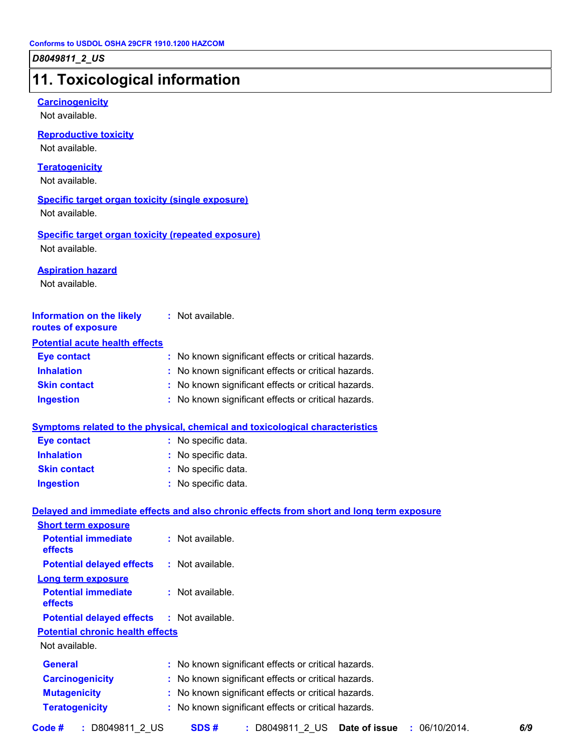# **11. Toxicological information**

#### **Carcinogenicity**

Not available.

#### **Reproductive toxicity**

Not available.

#### **Teratogenicity**

Not available.

#### **Specific target organ toxicity (single exposure)**

Not available.

### **Specific target organ toxicity (repeated exposure)**

Not available.

#### **Aspiration hazard**

Not available.

| <b>Information on the likely</b><br>routes of exposure | : Not available.                                    |
|--------------------------------------------------------|-----------------------------------------------------|
| <b>Potential acute health effects</b>                  |                                                     |
| <b>Eye contact</b>                                     | : No known significant effects or critical hazards. |
| <b>Inhalation</b>                                      | : No known significant effects or critical hazards. |
| <b>Skin contact</b>                                    | : No known significant effects or critical hazards. |
| <b>Ingestion</b>                                       | : No known significant effects or critical hazards. |

#### **Symptoms related to the physical, chemical and toxicological characteristics**

| Eye contact         | : No specific data. |
|---------------------|---------------------|
| <b>Inhalation</b>   | : No specific data. |
| <b>Skin contact</b> | : No specific data. |
| <b>Ingestion</b>    | : No specific data. |

#### **Delayed and immediate effects and also chronic effects from short and long term exposure**

| <b>Short term exposure</b>                        |                                                     |
|---------------------------------------------------|-----------------------------------------------------|
| <b>Potential immediate</b><br><b>effects</b>      | : Not available.                                    |
| <b>Potential delayed effects</b>                  | $:$ Not available.                                  |
| <b>Long term exposure</b>                         |                                                     |
| <b>Potential immediate</b><br>effects             | : Not available.                                    |
| <b>Potential delayed effects : Not available.</b> |                                                     |
| <b>Potential chronic health effects</b>           |                                                     |
| Not available.                                    |                                                     |
| <b>General</b>                                    | : No known significant effects or critical hazards. |
| <b>Carcinogenicity</b>                            | : No known significant effects or critical hazards. |
| <b>Mutagenicity</b>                               | : No known significant effects or critical hazards. |
| <b>Teratogenicity</b>                             | : No known significant effects or critical hazards. |
|                                                   |                                                     |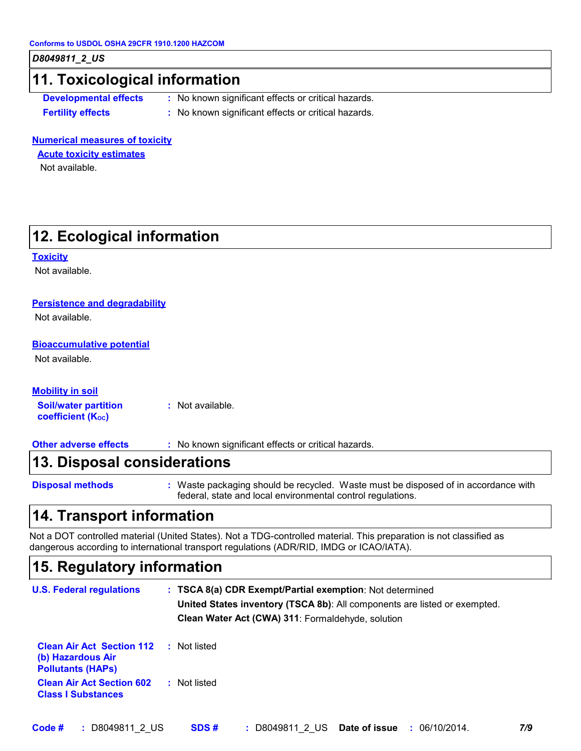### **11. Toxicological information**

**Developmental effects :** No known significant effects or critical hazards.

**Fertility effects :** No known significant effects or critical hazards.

#### **Numerical measures of toxicity**

**Acute toxicity estimates**

Not available.

# **12. Ecological information**

**Toxicity**

Not available.

#### **Persistence and degradability**

Not available.

#### **Bioaccumulative potential**

Not available.

#### **Mobility in soil**

**Soil/water partition coefficient (Koc) :** Not available.

**Other adverse effects :** No known significant effects or critical hazards.

### **13. Disposal considerations**

**Disposal methods :**

Waste packaging should be recycled. Waste must be disposed of in accordance with federal, state and local environmental control regulations.

### **14. Transport information**

Not a DOT controlled material (United States). Not a TDG-controlled material. This preparation is not classified as dangerous according to international transport regulations (ADR/RID, IMDG or ICAO/IATA).

### **15. Regulatory information**

| <b>U.S. Federal regulations</b> |  | : TSCA 8(a) CDR Exempt/Partial exemption: Not determined                  |
|---------------------------------|--|---------------------------------------------------------------------------|
|                                 |  | United States inventory (TSCA 8b): All components are listed or exempted. |
|                                 |  | Clean Water Act (CWA) 311: Formaldehyde, solution                         |
| Close Air Ast, Continue 440     |  | Natlists d                                                                |

| <b>Clean Air Act Section T12 : Not ilsted</b><br>(b) Hazardous Air<br><b>Pollutants (HAPS)</b> |              |
|------------------------------------------------------------------------------------------------|--------------|
| <b>Clean Air Act Section 602</b><br><b>Class I Substances</b>                                  | : Not listed |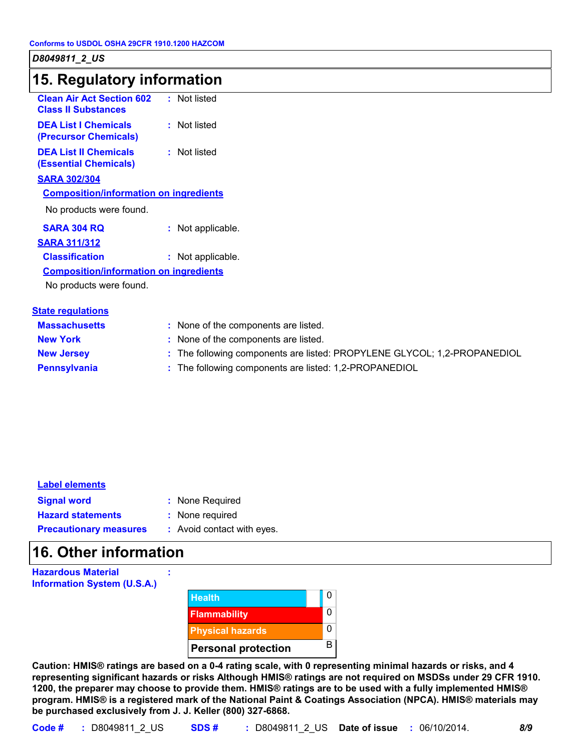### **15. Regulatory information**

| <b>Clean Air Act Section 602</b><br><b>Class II Substances</b> | : Not listed      |
|----------------------------------------------------------------|-------------------|
| <b>DEA List I Chemicals</b><br>(Precursor Chemicals)           | : Not listed      |
| <b>DEA List II Chemicals</b><br><b>(Essential Chemicals)</b>   | : Not listed      |
| <b>SARA 302/304</b>                                            |                   |
| <b>Composition/information on ingredients</b>                  |                   |
| No products were found.                                        |                   |
| SARA 304 RO                                                    | : Not applicable. |
| <b>SARA 311/312</b>                                            |                   |
| <b>Classification</b>                                          | Not applicable.   |
| <b>Composition/information on ingredients</b>                  |                   |
|                                                                |                   |

No products were found.

| <b>State regulations</b> |                                                                          |
|--------------------------|--------------------------------------------------------------------------|
| <b>Massachusetts</b>     | : None of the components are listed.                                     |
| <b>New York</b>          | : None of the components are listed.                                     |
| <b>New Jersey</b>        | : The following components are listed: PROPYLENE GLYCOL; 1,2-PROPANEDIOL |
| <b>Pennsylvania</b>      | : The following components are listed: 1,2-PROPANEDIOL                   |

| <b>Label elements</b> |
|-----------------------|
|-----------------------|

| <b>Signal word</b>       | : None Required |
|--------------------------|-----------------|
| <b>Hazard statements</b> | : None required |

: None required

: Avoid contact with eyes.

# **16. Other information**

**Precautionary measures :**



**Caution: HMIS® ratings are based on a 0-4 rating scale, with 0 representing minimal hazards or risks, and 4 representing significant hazards or risks Although HMIS® ratings are not required on MSDSs under 29 CFR 1910. 1200, the preparer may choose to provide them. HMIS® ratings are to be used with a fully implemented HMIS® program. HMIS® is a registered mark of the National Paint & Coatings Association (NPCA). HMIS® materials may be purchased exclusively from J. J. Keller (800) 327-6868.**